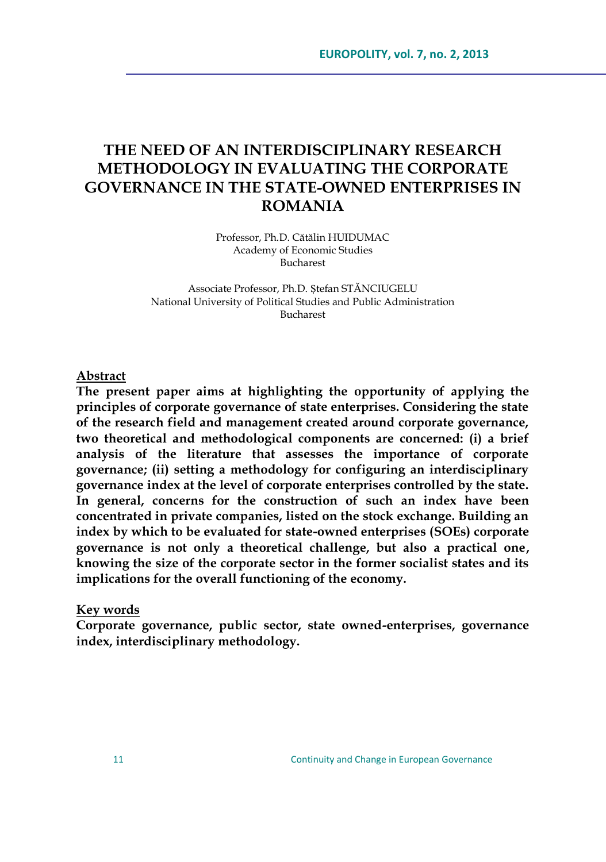# **THE NEED OF AN INTERDISCIPLINARY RESEARCH METHODOLOGY IN EVALUATING THE CORPORATE GOVERNANCE IN THE STATE-OWNED ENTERPRISES IN ROMANIA**

Professor, Ph.D. Cătălin HUIDUMAC Academy of Economic Studies Bucharest

Associate Professor, Ph.D. Ștefan STĂNCIUGELU National University of Political Studies and Public Administration Bucharest

#### **Abstract**

**The present paper aims at highlighting the opportunity of applying the principles of corporate governance of state enterprises. Considering the state of the research field and management created around corporate governance, two theoretical and methodological components are concerned: (i) a brief analysis of the literature that assesses the importance of corporate governance; (ii) setting a methodology for configuring an interdisciplinary governance index at the level of corporate enterprises controlled by the state. In general, concerns for the construction of such an index have been concentrated in private companies, listed on the stock exchange. Building an index by which to be evaluated for state-owned enterprises (SOEs) corporate governance is not only a theoretical challenge, but also a practical one, knowing the size of the corporate sector in the former socialist states and its implications for the overall functioning of the economy.**

#### **Key words**

**Corporate governance, public sector, state owned-enterprises, governance index, interdisciplinary methodology.**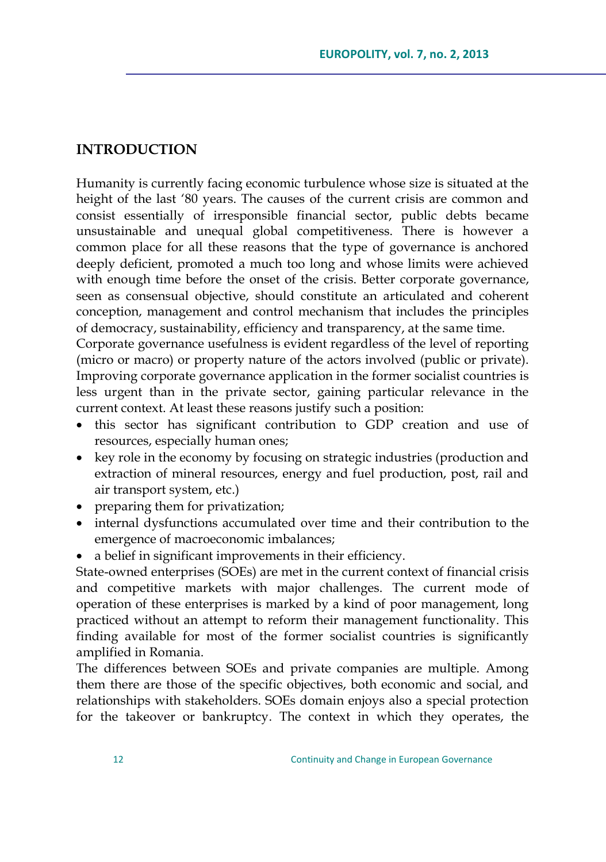#### **INTRODUCTION**

Humanity is currently facing economic turbulence whose size is situated at the height of the last "80 years. The causes of the current crisis are common and consist essentially of irresponsible financial sector, public debts became unsustainable and unequal global competitiveness. There is however a common place for all these reasons that the type of governance is anchored deeply deficient, promoted a much too long and whose limits were achieved with enough time before the onset of the crisis. Better corporate governance, seen as consensual objective, should constitute an articulated and coherent conception, management and control mechanism that includes the principles of democracy, sustainability, efficiency and transparency, at the same time.

Corporate governance usefulness is evident regardless of the level of reporting (micro or macro) or property nature of the actors involved (public or private). Improving corporate governance application in the former socialist countries is less urgent than in the private sector, gaining particular relevance in the current context. At least these reasons justify such a position:

- this sector has significant contribution to GDP creation and use of resources, especially human ones;
- key role in the economy by focusing on strategic industries (production and extraction of mineral resources, energy and fuel production, post, rail and air transport system, etc.)
- preparing them for privatization;
- internal dysfunctions accumulated over time and their contribution to the emergence of macroeconomic imbalances;
- a belief in significant improvements in their efficiency.

State-owned enterprises (SOEs) are met in the current context of financial crisis and competitive markets with major challenges. The current mode of operation of these enterprises is marked by a kind of poor management, long practiced without an attempt to reform their management functionality. This finding available for most of the former socialist countries is significantly amplified in Romania.

The differences between SOEs and private companies are multiple. Among them there are those of the specific objectives, both economic and social, and relationships with stakeholders. SOEs domain enjoys also a special protection for the takeover or bankruptcy. The context in which they operates, the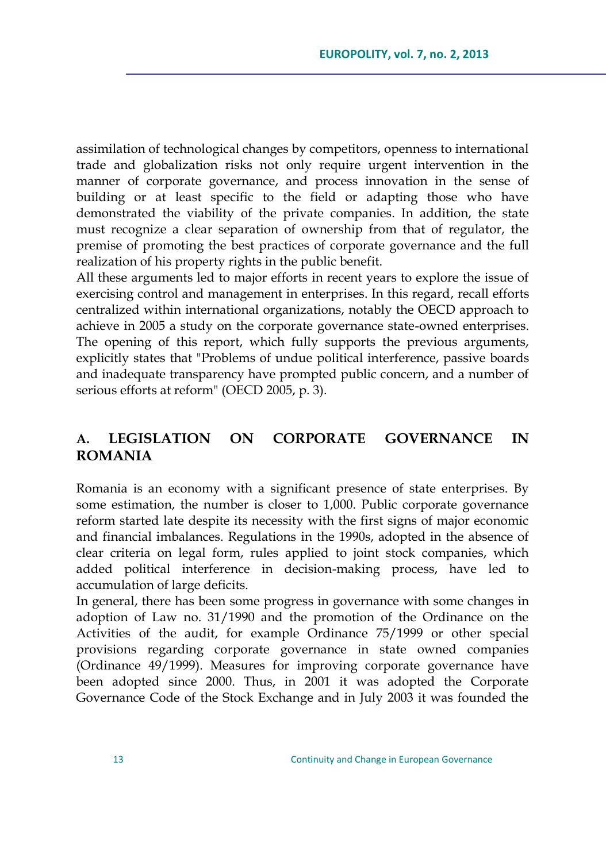assimilation of technological changes by competitors, openness to international trade and globalization risks not only require urgent intervention in the manner of corporate governance, and process innovation in the sense of building or at least specific to the field or adapting those who have demonstrated the viability of the private companies. In addition, the state must recognize a clear separation of ownership from that of regulator, the premise of promoting the best practices of corporate governance and the full realization of his property rights in the public benefit.

All these arguments led to major efforts in recent years to explore the issue of exercising control and management in enterprises. In this regard, recall efforts centralized within international organizations, notably the OECD approach to achieve in 2005 a study on the corporate governance state-owned enterprises. The opening of this report, which fully supports the previous arguments, explicitly states that "Problems of undue political interference, passive boards and inadequate transparency have prompted public concern, and a number of serious efforts at reform" (OECD 2005, p. 3).

## **A. LEGISLATION ON CORPORATE GOVERNANCE IN ROMANIA**

Romania is an economy with a significant presence of state enterprises. By some estimation, the number is closer to 1,000. Public corporate governance reform started late despite its necessity with the first signs of major economic and financial imbalances. Regulations in the 1990s, adopted in the absence of clear criteria on legal form, rules applied to joint stock companies, which added political interference in decision-making process, have led to accumulation of large deficits.

In general, there has been some progress in governance with some changes in adoption of Law no. 31/1990 and the promotion of the Ordinance on the Activities of the audit, for example Ordinance 75/1999 or other special provisions regarding corporate governance in state owned companies (Ordinance 49/1999). Measures for improving corporate governance have been adopted since 2000. Thus, in 2001 it was adopted the Corporate Governance Code of the Stock Exchange and in July 2003 it was founded the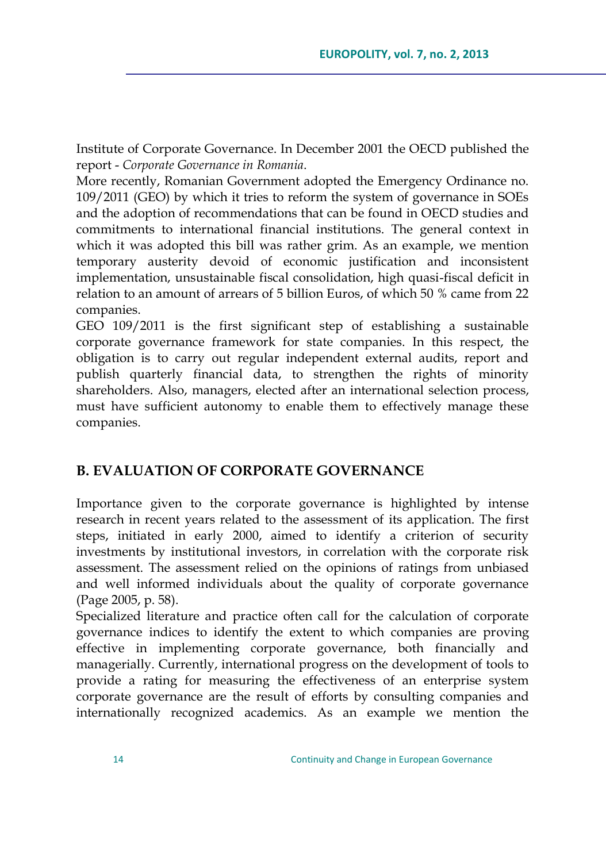Institute of Corporate Governance. In December 2001 the OECD published the report - *Corporate Governance in Romania*.

More recently, Romanian Government adopted the Emergency Ordinance no. 109/2011 (GEO) by which it tries to reform the system of governance in SOEs and the adoption of recommendations that can be found in OECD studies and commitments to international financial institutions. The general context in which it was adopted this bill was rather grim. As an example, we mention temporary austerity devoid of economic justification and inconsistent implementation, unsustainable fiscal consolidation, high quasi-fiscal deficit in relation to an amount of arrears of 5 billion Euros, of which 50 % came from 22 companies.

GEO 109/2011 is the first significant step of establishing a sustainable corporate governance framework for state companies. In this respect, the obligation is to carry out regular independent external audits, report and publish quarterly financial data, to strengthen the rights of minority shareholders. Also, managers, elected after an international selection process, must have sufficient autonomy to enable them to effectively manage these companies.

### **B. EVALUATION OF CORPORATE GOVERNANCE**

Importance given to the corporate governance is highlighted by intense research in recent years related to the assessment of its application. The first steps, initiated in early 2000, aimed to identify a criterion of security investments by institutional investors, in correlation with the corporate risk assessment. The assessment relied on the opinions of ratings from unbiased and well informed individuals about the quality of corporate governance (Page 2005, p. 58).

Specialized literature and practice often call for the calculation of corporate governance indices to identify the extent to which companies are proving effective in implementing corporate governance, both financially and managerially. Currently, international progress on the development of tools to provide a rating for measuring the effectiveness of an enterprise system corporate governance are the result of efforts by consulting companies and internationally recognized academics. As an example we mention the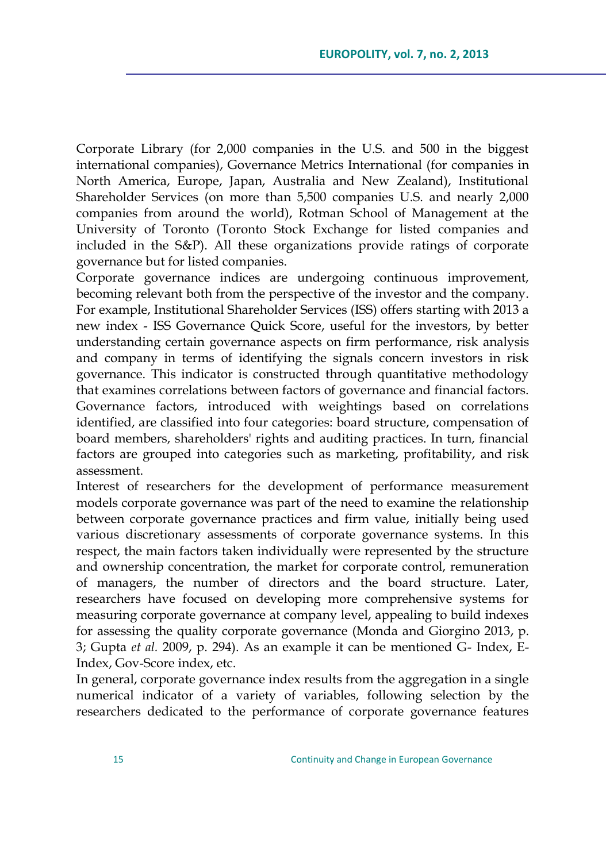Corporate Library (for 2,000 companies in the U.S. and 500 in the biggest international companies), Governance Metrics International (for companies in North America, Europe, Japan, Australia and New Zealand), Institutional Shareholder Services (on more than 5,500 companies U.S. and nearly 2,000 companies from around the world), Rotman School of Management at the University of Toronto (Toronto Stock Exchange for listed companies and included in the S&P). All these organizations provide ratings of corporate governance but for listed companies.

Corporate governance indices are undergoing continuous improvement, becoming relevant both from the perspective of the investor and the company. For example, Institutional Shareholder Services (ISS) offers starting with 2013 a new index - ISS Governance Quick Score, useful for the investors, by better understanding certain governance aspects on firm performance, risk analysis and company in terms of identifying the signals concern investors in risk governance. This indicator is constructed through quantitative methodology that examines correlations between factors of governance and financial factors. Governance factors, introduced with weightings based on correlations identified, are classified into four categories: board structure, compensation of board members, shareholders' rights and auditing practices. In turn, financial factors are grouped into categories such as marketing, profitability, and risk assessment.

Interest of researchers for the development of performance measurement models corporate governance was part of the need to examine the relationship between corporate governance practices and firm value, initially being used various discretionary assessments of corporate governance systems. In this respect, the main factors taken individually were represented by the structure and ownership concentration, the market for corporate control, remuneration of managers, the number of directors and the board structure. Later, researchers have focused on developing more comprehensive systems for measuring corporate governance at company level, appealing to build indexes for assessing the quality corporate governance (Monda and Giorgino 2013, p. 3; Gupta *et al.* 2009, p. 294). As an example it can be mentioned G- Index, E-Index, Gov-Score index, etc.

In general, corporate governance index results from the aggregation in a single numerical indicator of a variety of variables, following selection by the researchers dedicated to the performance of corporate governance features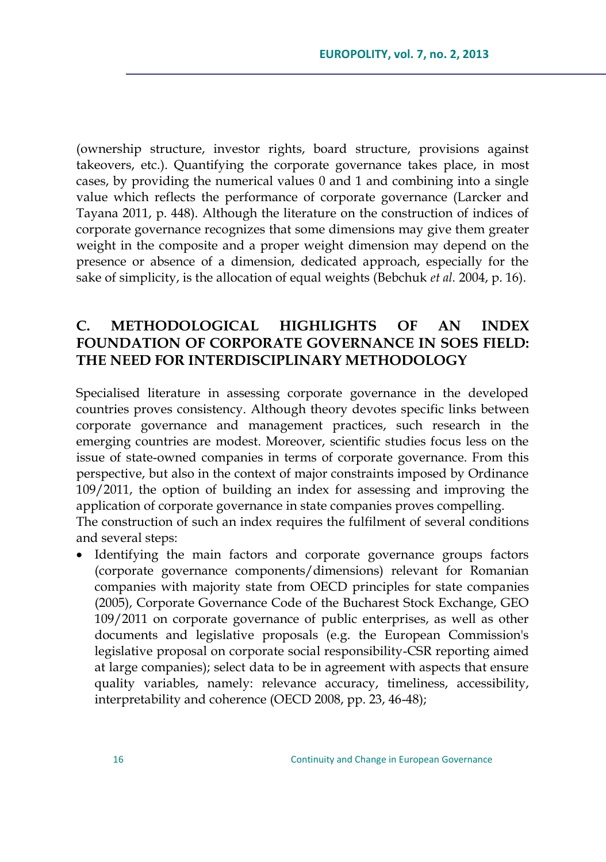(ownership structure, investor rights, board structure, provisions against takeovers, etc.). Quantifying the corporate governance takes place, in most cases, by providing the numerical values 0 and 1 and combining into a single value which reflects the performance of corporate governance (Larcker and Tayana 2011, p. 448). Although the literature on the construction of indices of corporate governance recognizes that some dimensions may give them greater weight in the composite and a proper weight dimension may depend on the presence or absence of a dimension, dedicated approach, especially for the sake of simplicity, is the allocation of equal weights (Bebchuk *et al.* 2004, p. 16).

# **C. METHODOLOGICAL HIGHLIGHTS OF AN INDEX FOUNDATION OF CORPORATE GOVERNANCE IN SOES FIELD: THE NEED FOR INTERDISCIPLINARY METHODOLOGY**

Specialised literature in assessing corporate governance in the developed countries proves consistency. Although theory devotes specific links between corporate governance and management practices, such research in the emerging countries are modest. Moreover, scientific studies focus less on the issue of state-owned companies in terms of corporate governance. From this perspective, but also in the context of major constraints imposed by Ordinance 109/2011, the option of building an index for assessing and improving the application of corporate governance in state companies proves compelling. The construction of such an index requires the fulfilment of several conditions and several steps:

 Identifying the main factors and corporate governance groups factors (corporate governance components/dimensions) relevant for Romanian companies with majority state from OECD principles for state companies (2005), Corporate Governance Code of the Bucharest Stock Exchange, GEO 109/2011 on corporate governance of public enterprises, as well as other documents and legislative proposals (e.g. the European Commission's legislative proposal on corporate social responsibility-CSR reporting aimed at large companies); select data to be in agreement with aspects that ensure quality variables, namely: relevance accuracy, timeliness, accessibility, interpretability and coherence (OECD 2008, pp. 23, 46-48);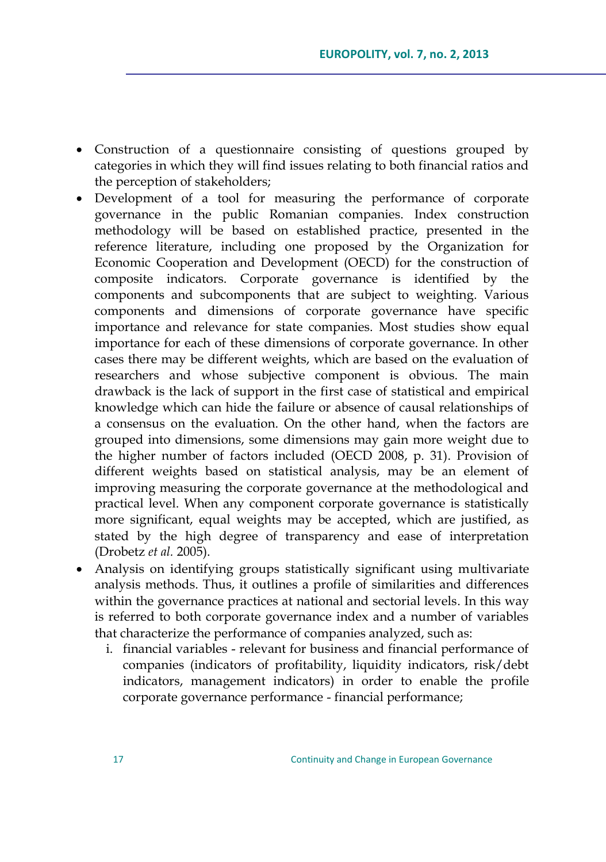- Construction of a questionnaire consisting of questions grouped by categories in which they will find issues relating to both financial ratios and the perception of stakeholders;
- Development of a tool for measuring the performance of corporate governance in the public Romanian companies. Index construction methodology will be based on established practice, presented in the reference literature, including one proposed by the Organization for Economic Cooperation and Development (OECD) for the construction of composite indicators. Corporate governance is identified by the components and subcomponents that are subject to weighting. Various components and dimensions of corporate governance have specific importance and relevance for state companies. Most studies show equal importance for each of these dimensions of corporate governance. In other cases there may be different weights, which are based on the evaluation of researchers and whose subjective component is obvious. The main drawback is the lack of support in the first case of statistical and empirical knowledge which can hide the failure or absence of causal relationships of a consensus on the evaluation. On the other hand, when the factors are grouped into dimensions, some dimensions may gain more weight due to the higher number of factors included (OECD 2008, p. 31). Provision of different weights based on statistical analysis, may be an element of improving measuring the corporate governance at the methodological and practical level. When any component corporate governance is statistically more significant, equal weights may be accepted, which are justified, as stated by the high degree of transparency and ease of interpretation (Drobetz *et al.* 2005).
- Analysis on identifying groups statistically significant using multivariate analysis methods. Thus, it outlines a profile of similarities and differences within the governance practices at national and sectorial levels. In this way is referred to both corporate governance index and a number of variables that characterize the performance of companies analyzed, such as:
	- i. financial variables relevant for business and financial performance of companies (indicators of profitability, liquidity indicators, risk/debt indicators, management indicators) in order to enable the profile corporate governance performance - financial performance;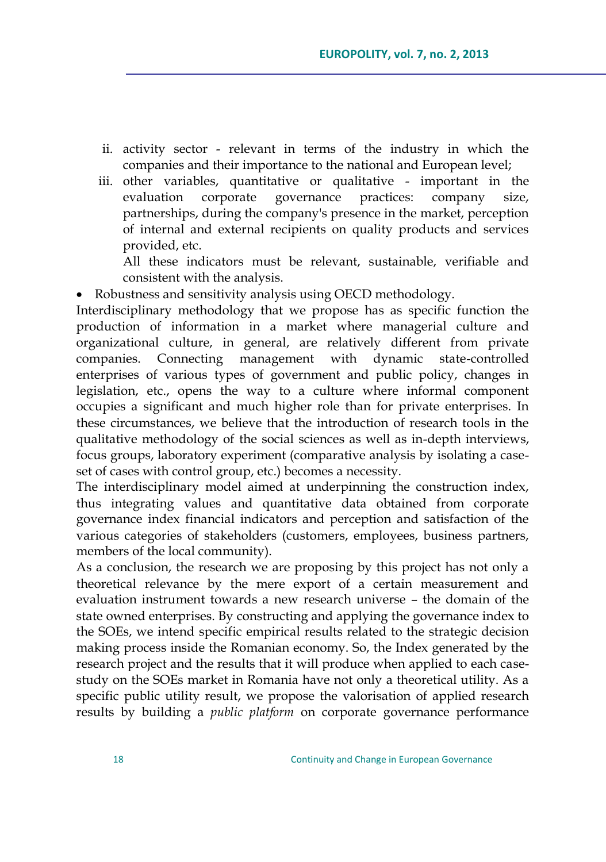- ii. activity sector relevant in terms of the industry in which the companies and their importance to the national and European level;
- iii. other variables, quantitative or qualitative important in the evaluation corporate governance practices: company size, partnerships, during the company's presence in the market, perception of internal and external recipients on quality products and services provided, etc.

All these indicators must be relevant, sustainable, verifiable and consistent with the analysis.

Robustness and sensitivity analysis using OECD methodology.

Interdisciplinary methodology that we propose has as specific function the production of information in a market where managerial culture and organizational culture, in general, are relatively different from private companies. Connecting management with dynamic state-controlled enterprises of various types of government and public policy, changes in legislation, etc., opens the way to a culture where informal component occupies a significant and much higher role than for private enterprises. In these circumstances, we believe that the introduction of research tools in the qualitative methodology of the social sciences as well as in-depth interviews, focus groups, laboratory experiment (comparative analysis by isolating a caseset of cases with control group, etc.) becomes a necessity.

The interdisciplinary model aimed at underpinning the construction index, thus integrating values and quantitative data obtained from corporate governance index financial indicators and perception and satisfaction of the various categories of stakeholders (customers, employees, business partners, members of the local community).

As a conclusion, the research we are proposing by this project has not only a theoretical relevance by the mere export of a certain measurement and evaluation instrument towards a new research universe – the domain of the state owned enterprises. By constructing and applying the governance index to the SOEs, we intend specific empirical results related to the strategic decision making process inside the Romanian economy. So, the Index generated by the research project and the results that it will produce when applied to each casestudy on the SOEs market in Romania have not only a theoretical utility. As a specific public utility result, we propose the valorisation of applied research results by building a *public platform* on corporate governance performance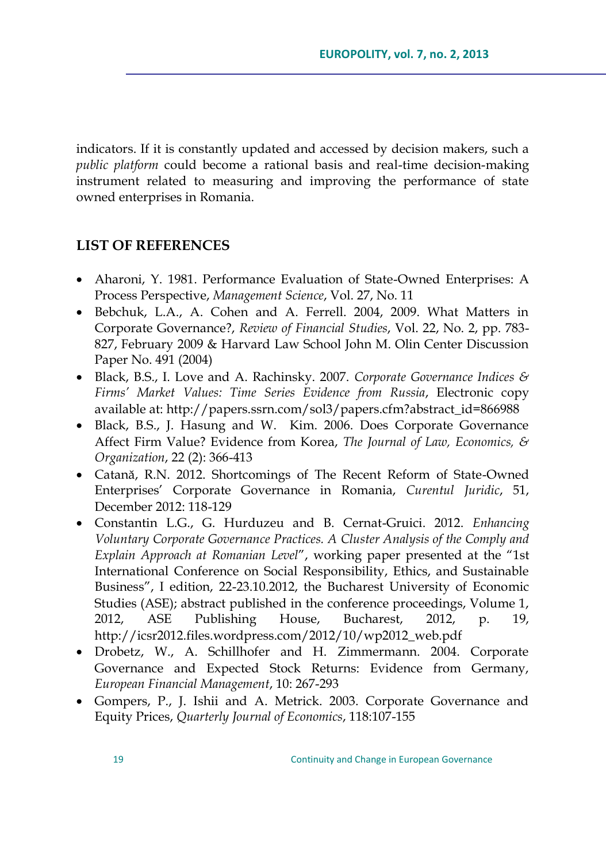indicators. If it is constantly updated and accessed by decision makers, such a *public platform* could become a rational basis and real-time decision-making instrument related to measuring and improving the performance of state owned enterprises in Romania.

### **LIST OF REFERENCES**

- Aharoni, Y. 1981. Performance Evaluation of State-Owned Enterprises: A Process Perspective, *Management Science*, Vol. 27, No. 11
- Bebchuk, L.A., A. Cohen and A. Ferrell. 2004, 2009. What Matters in Corporate Governance?, *Review of Financial Studies*, Vol. 22, No. 2, pp. 783- 827, February 2009 & Harvard Law School John M. Olin Center Discussion Paper No. 491 (2004)
- Black, B.S., I. Love and A. Rachinsky. 2007. *Corporate Governance Indices & Firms' Market Values: Time Series Evidence from Russia*, Electronic copy available at: http://papers.ssrn.com/sol3/papers.cfm?abstract\_id=866988
- Black, B.S., J. Hasung and W. Kim. 2006. Does Corporate Governance Affect Firm Value? Evidence from Korea, *The Journal of Law, Economics, & Organization*, 22 (2): 366-413
- Catană, R.N. 2012. Shortcomings of The Recent Reform of State-Owned Enterprises" Corporate Governance in Romania, *Curentul Juridic*, 51, December 2012: 118-129
- Constantin L.G., G. Hurduzeu and B. Cernat-Gruici. 2012. *Enhancing Voluntary Corporate Governance Practices. A Cluster Analysis of the Comply and Explain Approach at Romanian Level*", working paper presented at the "1st International Conference on Social Responsibility, Ethics, and Sustainable Business", I edition, 22-23.10.2012, the Bucharest University of Economic Studies (ASE); abstract published in the conference proceedings, Volume 1, 2012, ASE Publishing House, Bucharest, 2012, p. 19, http://icsr2012.files.wordpress.com/2012/10/wp2012\_web.pdf
- Drobetz, W., A. Schillhofer and H. Zimmermann. 2004. Corporate Governance and Expected Stock Returns: Evidence from Germany, *European Financial Management*, 10: 267-293
- Gompers, P., J. Ishii and A. Metrick. 2003. Corporate Governance and Equity Prices, *Quarterly Journal of Economics*, 118:107-155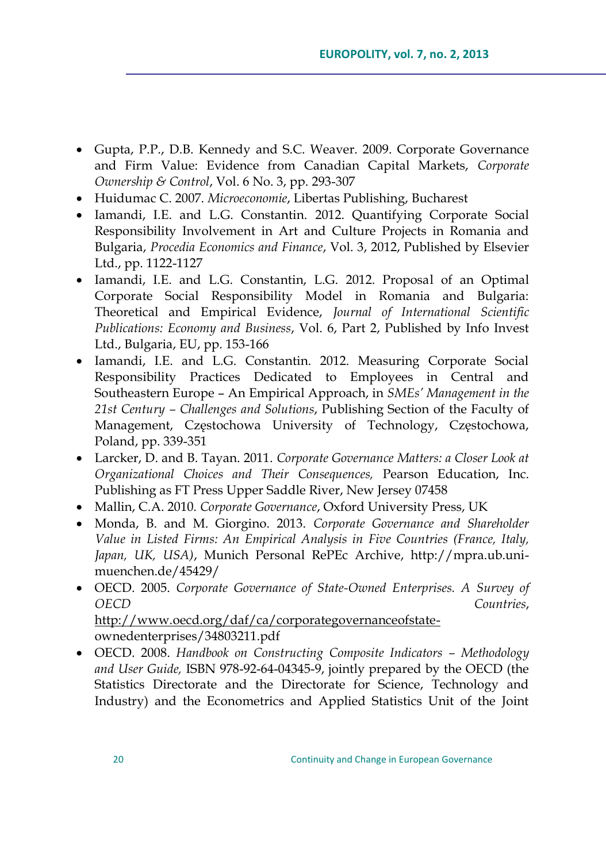- Gupta, P.P., D.B. Kennedy and S.C. Weaver. 2009. Corporate Governance and Firm Value: Evidence from Canadian Capital Markets, *Corporate Ownership & Control*, Vol. 6 No. 3, pp. 293-307
- Huidumac C. 2007. *Microeconomie*, Libertas Publishing, Bucharest
- Iamandi, I.E. and L.G. Constantin. 2012. Quantifying Corporate Social Responsibility Involvement in Art and Culture Projects in Romania and Bulgaria, *Procedia Economics and Finance*, Vol. 3, 2012, Published by Elsevier Ltd., pp. 1122-1127
- Iamandi, I.E. and L.G. Constantin, L.G. 2012. Proposal of an Optimal Corporate Social Responsibility Model in Romania and Bulgaria: Theoretical and Empirical Evidence, *Journal of International Scientific Publications: Economy and Business*, Vol. 6, Part 2, Published by Info Invest Ltd., Bulgaria, EU, pp. 153-166
- Iamandi, I.E. and L.G. Constantin. 2012. Measuring Corporate Social Responsibility Practices Dedicated to Employees in Central and Southeastern Europe – An Empirical Approach, in *SMEs' Management in the 21st Century – Challenges and Solutions*, Publishing Section of the Faculty of Management, Częstochowa University of Technology, Częstochowa, Poland, pp. 339-351
- Larcker, D. and B. Tayan. 2011. *Corporate Governance Matters: a Closer Look at Organizational Choices and Their Consequences,* Pearson Education, Inc. Publishing as FT Press Upper Saddle River, New Jersey 07458
- Mallin, C.A. 2010. *Corporate Governance*, Oxford University Press, UK
- Monda, B. and M. Giorgino. 2013. *Corporate Governance and Shareholder Value in Listed Firms: An Empirical Analysis in Five Countries (France, Italy, Japan, UK, USA)*, Munich Personal RePEc Archive, http://mpra.ub.unimuenchen.de/45429/
- OECD. 2005. *Corporate Governance of State-Owned Enterprises. A Survey of OECD Countries*, [http://www.oecd.org/daf/ca/corporategovernanceofstate](http://www.oecd.org/daf/ca/corporategovernanceofstate-)ownedenterprises/34803211.pdf
- OECD. 2008. *Handbook on Constructing Composite Indicators – Methodology and User Guide,* ISBN 978-92-64-04345-9, jointly prepared by the OECD (the Statistics Directorate and the Directorate for Science, Technology and Industry) and the Econometrics and Applied Statistics Unit of the Joint